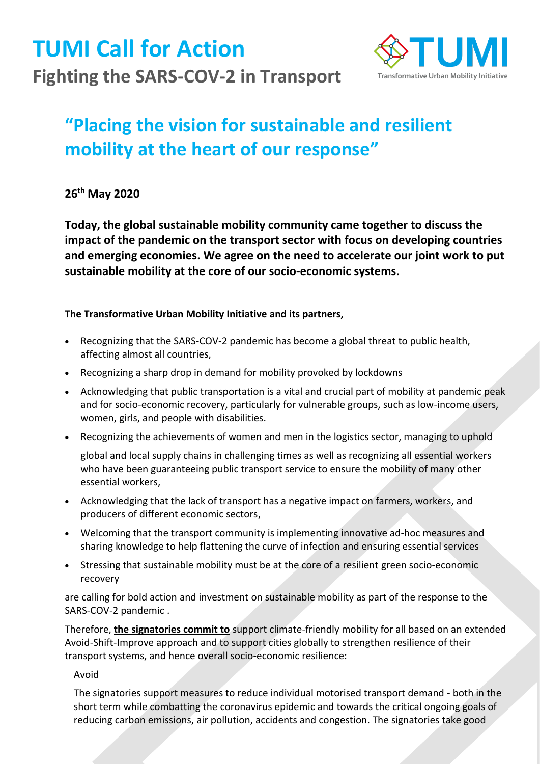**TUMI Call for Action Fighting the SARS-COV-2 in Transport** 



## **"Placing the vision for sustainable and resilient mobility at the heart of our response"**

**26th May 2020** 

**Today, the global sustainable mobility community came together to discuss the impact of the pandemic on the transport sector with focus on developing countries and emerging economies. We agree on the need to accelerate our joint work to put sustainable mobility at the core of our socio-economic systems.** 

**The Transformative Urban Mobility Initiative and its partners,**

- Recognizing that the SARS-COV-2 pandemic has become a global threat to public health, affecting almost all countries,
- Recognizing a sharp drop in demand for mobility provoked by lockdowns
- Acknowledging that public transportation is a vital and crucial part of mobility at pandemic peak and for socio-economic recovery, particularly for vulnerable groups, such as low-income users, women, girls, and people with disabilities.
- Recognizing the achievements of women and men in the logistics sector, managing to uphold

global and local supply chains in challenging times as well as recognizing all essential workers who have been guaranteeing public transport service to ensure the mobility of many other essential workers,

- Acknowledging that the lack of transport has a negative impact on farmers, workers, and producers of different economic sectors,
- Welcoming that the transport community is implementing innovative ad-hoc measures and sharing knowledge to help flattening the curve of infection and ensuring essential services
- Stressing that sustainable mobility must be at the core of a resilient green socio-economic recovery

are calling for bold action and investment on sustainable mobility as part of the response to the SARS-COV-2 pandemic .

Therefore, **the signatories commit to** support climate-friendly mobility for all based on an extended Avoid-Shift-Improve approach and to support cities globally to strengthen resilience of their transport systems, and hence overall socio-economic resilience:

Avoid

The signatories support measures to reduce individual motorised transport demand - both in the short term while combatting the coronavirus epidemic and towards the critical ongoing goals of reducing carbon emissions, air pollution, accidents and congestion. The signatories take good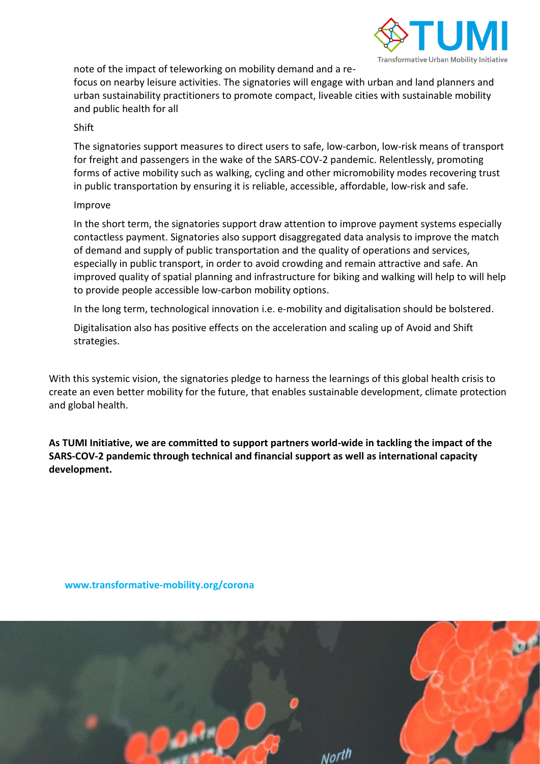

note of the impact of teleworking on mobility demand and a re-

focus on nearby leisure activities. The signatories will engage with urban and land planners and urban sustainability practitioners to promote compact, liveable cities with sustainable mobility and public health for all

## Shift

The signatories support measures to direct users to safe, low-carbon, low-risk means of transport for freight and passengers in the wake of the SARS-COV-2 pandemic. Relentlessly, promoting forms of active mobility such as walking, cycling and other micromobility modes recovering trust in public transportation by ensuring it is reliable, accessible, affordable, low-risk and safe.

## Improve

In the short term, the signatories support draw attention to improve payment systems especially contactless payment. Signatories also support disaggregated data analysis to improve the match of demand and supply of public transportation and the quality of operations and services, especially in public transport, in order to avoid crowding and remain attractive and safe. An improved quality of spatial planning and infrastructure for biking and walking will help to will help to provide people accessible low-carbon mobility options.

In the long term, technological innovation i.e. e-mobility and digitalisation should be bolstered.

Digitalisation also has positive effects on the acceleration and scaling up of Avoid and Shift strategies.

With this systemic vision, the signatories pledge to harness the learnings of this global health crisis to create an even better mobility for the future, that enables sustainable development, climate protection and global health.

**As TUMI Initiative, we are committed to support partners world-wide in tackling the impact of the SARS-COV-2 pandemic through technical and financial support as well as international capacity development.** 

**[www.transformative-mobility.org/corona](file:///C:/Users/schaef_mar5/AppData/Local/Microsoft/Windows/INetCache/Content.Outlook/FAWMIWE4/www.transformative-mobility.org/corona)**